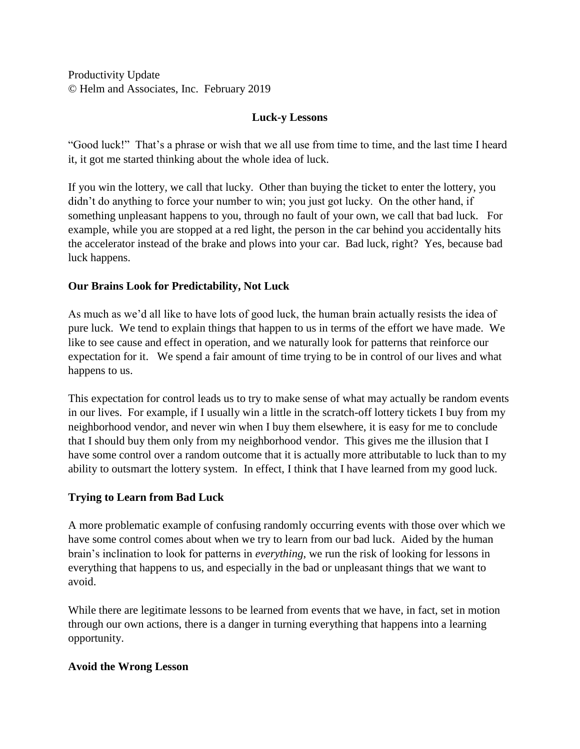Productivity Update © Helm and Associates, Inc. February 2019

# **Luck-y Lessons**

"Good luck!" That's a phrase or wish that we all use from time to time, and the last time I heard it, it got me started thinking about the whole idea of luck.

If you win the lottery, we call that lucky. Other than buying the ticket to enter the lottery, you didn't do anything to force your number to win; you just got lucky. On the other hand, if something unpleasant happens to you, through no fault of your own, we call that bad luck. For example, while you are stopped at a red light, the person in the car behind you accidentally hits the accelerator instead of the brake and plows into your car. Bad luck, right? Yes, because bad luck happens.

# **Our Brains Look for Predictability, Not Luck**

As much as we'd all like to have lots of good luck, the human brain actually resists the idea of pure luck. We tend to explain things that happen to us in terms of the effort we have made. We like to see cause and effect in operation, and we naturally look for patterns that reinforce our expectation for it. We spend a fair amount of time trying to be in control of our lives and what happens to us.

This expectation for control leads us to try to make sense of what may actually be random events in our lives. For example, if I usually win a little in the scratch-off lottery tickets I buy from my neighborhood vendor, and never win when I buy them elsewhere, it is easy for me to conclude that I should buy them only from my neighborhood vendor. This gives me the illusion that I have some control over a random outcome that it is actually more attributable to luck than to my ability to outsmart the lottery system. In effect, I think that I have learned from my good luck.

### **Trying to Learn from Bad Luck**

A more problematic example of confusing randomly occurring events with those over which we have some control comes about when we try to learn from our bad luck. Aided by the human brain's inclination to look for patterns in *everything*, we run the risk of looking for lessons in everything that happens to us, and especially in the bad or unpleasant things that we want to avoid.

While there are legitimate lessons to be learned from events that we have, in fact, set in motion through our own actions, there is a danger in turning everything that happens into a learning opportunity.

### **Avoid the Wrong Lesson**